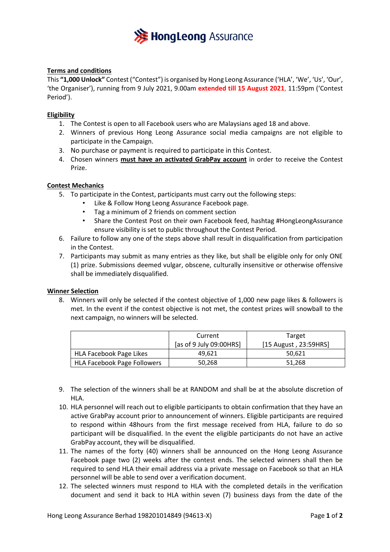

## **Terms and conditions**

This **"1,000 Unlock"** Contest ("Contest") is organised by Hong Leong Assurance ('HLA', 'We', 'Us', 'Our', 'the Organiser'), running from 9 July 2021, 9.00am **extended till 15 August 2021**, 11:59pm ('Contest Period').

### **Eligibility**

- 1. The Contest is open to all Facebook users who are Malaysians aged 18 and above.
- 2. Winners of previous Hong Leong Assurance social media campaigns are not eligible to participate in the Campaign.
- 3. No purchase or payment is required to participate in this Contest.
- 4. Chosen winners **must have an activated GrabPay account** in order to receive the Contest Prize.

#### **Contest Mechanics**

- 5. To participate in the Contest, participants must carry out the following steps:
	- Like & Follow Hong Leong Assurance Facebook page.
		- Tag a minimum of 2 friends on comment section
		- Share the Contest Post on their own Facebook feed, hashtag #HongLeongAssurance ensure visibility is set to public throughout the Contest Period.
- 6. Failure to follow any one of the steps above shall result in disqualification from participation in the Contest.
- 7. Participants may submit as many entries as they like, but shall be eligible only for only ONE (1) prize. Submissions deemed vulgar, obscene, culturally insensitive or otherwise offensive shall be immediately disqualified.

#### **Winner Selection**

8. Winners will only be selected if the contest objective of 1,000 new page likes & followers is met. In the event if the contest objective is not met, the contest prizes will snowball to the next campaign, no winners will be selected.

|                                    | Current                 | Target                |
|------------------------------------|-------------------------|-----------------------|
|                                    | [as of 9 July 09:00HRS] | [15 August, 23:59HRS] |
| HLA Facebook Page Likes            | 49.621                  | 50.621                |
| <b>HLA Facebook Page Followers</b> | 50,268                  | 51.268                |

- 9. The selection of the winners shall be at RANDOM and shall be at the absolute discretion of HLA.
- 10. HLA personnel will reach out to eligible participants to obtain confirmation that they have an active GrabPay account prior to announcement of winners. Eligible participants are required to respond within 48hours from the first message received from HLA, failure to do so participant will be disqualified. In the event the eligible participants do not have an active GrabPay account, they will be disqualified.
- 11. The names of the forty (40) winners shall be announced on the Hong Leong Assurance Facebook page two (2) weeks after the contest ends. The selected winners shall then be required to send HLA their email address via a private message on Facebook so that an HLA personnel will be able to send over a verification document.
- 12. The selected winners must respond to HLA with the completed details in the verification document and send it back to HLA within seven (7) business days from the date of the